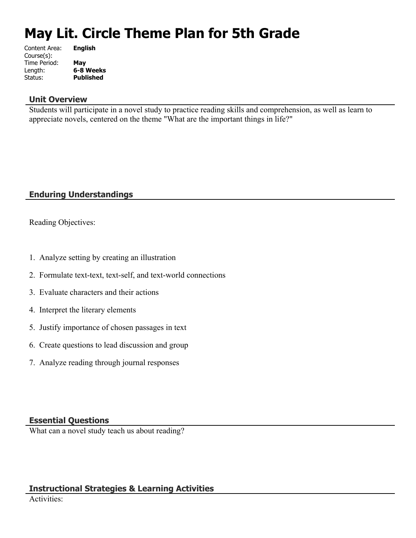# **May Lit. Circle Theme Plan for 5th Grade**

| <b>English</b>   |
|------------------|
|                  |
| May              |
| 6-8 Weeks        |
| <b>Published</b> |
|                  |

### **Unit Overview**

Students will participate in a novel study to practice reading skills and comprehension, as well as learn to appreciate novels, centered on the theme "What are the important things in life?"

# **Enduring Understandings**

Reading Objectives:

- 1. Analyze setting by creating an illustration
- 2. Formulate text-text, text-self, and text-world connections
- 3. Evaluate characters and their actions
- 4. Interpret the literary elements
- 5. Justify importance of chosen passages in text
- 6. Create questions to lead discussion and group
- 7. Analyze reading through journal responses

## **Essential Questions**

What can a novel study teach us about reading?

# **Instructional Strategies & Learning Activities**

Activities: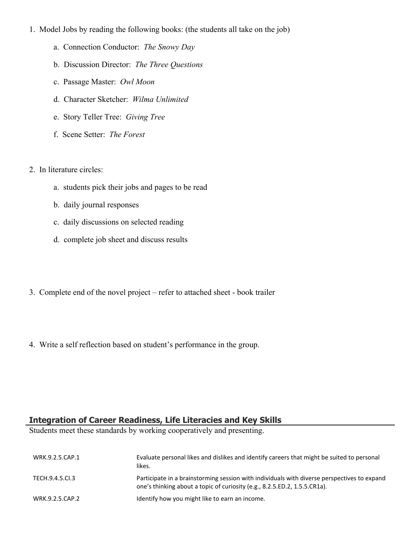- 1. Model Jobs by reading the following books: (the students all take on the job)
	- a. Connection Conductor: *The Snowy Day*
	- b. Discussion Director: *The Three Questions*
	- c. Passage Master: *Owl Moon*
	- d. Character Sketcher: *Wilma Unlimited*
	- e. Story Teller Tree: *Giving Tree*
	- f. Scene Setter: *The Forest*
- 2. In literature circles:
	- a. students pick their jobs and pages to be read
	- b. daily journal responses
	- c. daily discussions on selected reading
	- d. complete job sheet and discuss results
- 3. Complete end of the novel project refer to attached sheet book trailer
- 4. Write a self reflection based on student's performance in the group.

#### **Integration of Career Readiness, Life Literacies and Key Skills**

Students meet these standards by working cooperatively and presenting.

| WRK.9.2.5.CAP.1 | Evaluate personal likes and dislikes and identify careers that might be suited to personal<br>likes.                                                                     |
|-----------------|--------------------------------------------------------------------------------------------------------------------------------------------------------------------------|
| TECH.9.4.5.CI.3 | Participate in a brainstorming session with individuals with diverse perspectives to expand<br>one's thinking about a topic of curiosity (e.g., 8.2.5.ED.2, 1.5.5.CR1a). |
| WRK.9.2.5.CAP.2 | Identify how you might like to earn an income.                                                                                                                           |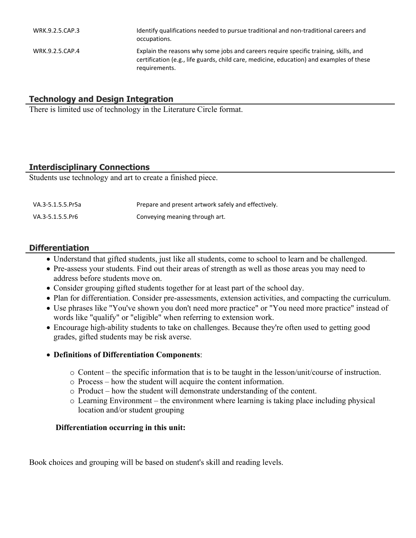| WRK.9.2.5.CAP.3 | Identify qualifications needed to pursue traditional and non-traditional careers and<br>occupations.                                                                                              |
|-----------------|---------------------------------------------------------------------------------------------------------------------------------------------------------------------------------------------------|
| WRK.9.2.5.CAP.4 | Explain the reasons why some jobs and careers require specific training, skills, and<br>certification (e.g., life guards, child care, medicine, education) and examples of these<br>requirements. |

# **Technology and Design Integration**

There is limited use of technology in the Literature Circle format.

# **Interdisciplinary Connections**

Students use technology and art to create a finished piece.

| VA.3-5.1.5.5.Pr5a | Prepare and present artwork safely and effectively. |
|-------------------|-----------------------------------------------------|
| VA.3-5.1.5.5.Pr6  | Conveying meaning through art.                      |

## **Differentiation**

- Understand that gifted students, just like all students, come to school to learn and be challenged.
- Pre-assess your students. Find out their areas of strength as well as those areas you may need to address before students move on.
- Consider grouping gifted students together for at least part of the school day.
- Plan for differentiation. Consider pre-assessments, extension activities, and compacting the curriculum.
- Use phrases like "You've shown you don't need more practice" or "You need more practice" instead of words like "qualify" or "eligible" when referring to extension work.
- Encourage high-ability students to take on challenges. Because they're often used to getting good grades, gifted students may be risk averse.

### **Definitions of Differentiation Components**:

- o Content the specific information that is to be taught in the lesson/unit/course of instruction.
- o Process how the student will acquire the content information.
- o Product how the student will demonstrate understanding of the content.
- o Learning Environment the environment where learning is taking place including physical location and/or student grouping

### **Differentiation occurring in this unit:**

Book choices and grouping will be based on student's skill and reading levels.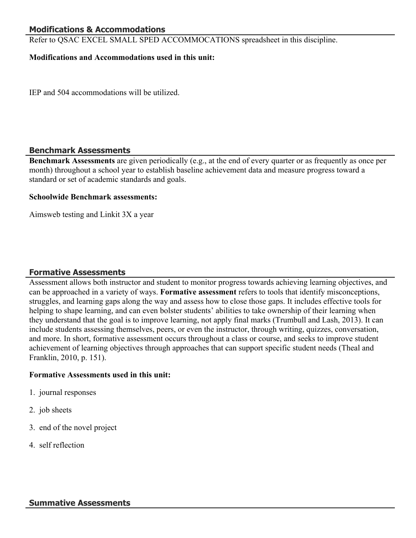## **Modifications & Accommodations**

Refer to QSAC EXCEL SMALL SPED ACCOMMOCATIONS spreadsheet in this discipline.

#### **Modifications and Accommodations used in this unit:**

IEP and 504 accommodations will be utilized.

#### **Benchmark Assessments**

**Benchmark Assessments** are given periodically (e.g., at the end of every quarter or as frequently as once per month) throughout a school year to establish baseline achievement data and measure progress toward a standard or set of academic standards and goals.

#### **Schoolwide Benchmark assessments:**

Aimsweb testing and Linkit 3X a year

### **Formative Assessments**

Assessment allows both instructor and student to monitor progress towards achieving learning objectives, and can be approached in a variety of ways. **Formative assessment** refers to tools that identify misconceptions, struggles, and learning gaps along the way and assess how to close those gaps. It includes effective tools for helping to shape learning, and can even bolster students' abilities to take ownership of their learning when they understand that the goal is to improve learning, not apply final marks (Trumbull and Lash, 2013). It can include students assessing themselves, peers, or even the instructor, through writing, quizzes, conversation, and more. In short, formative assessment occurs throughout a class or course, and seeks to improve student achievement of learning objectives through approaches that can support specific student needs (Theal and Franklin, 2010, p. 151).

#### **Formative Assessments used in this unit:**

- 1. journal responses
- 2. job sheets
- 3. end of the novel project
- 4. self reflection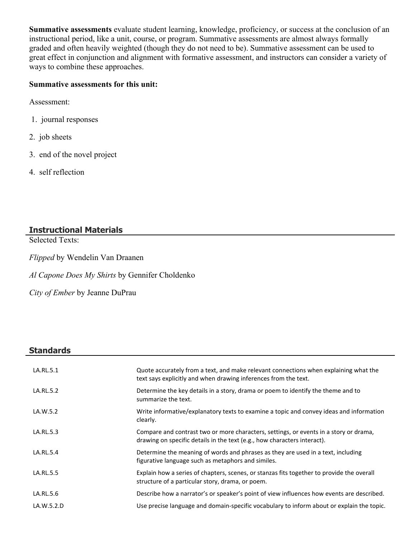**Summative assessments** evaluate student learning, knowledge, proficiency, or success at the conclusion of an instructional period, like a unit, course, or program. Summative assessments are almost always formally graded and often heavily weighted (though they do not need to be). Summative assessment can be used to great effect in conjunction and alignment with formative assessment, and instructors can consider a variety of ways to combine these approaches.

## **Summative assessments for this unit:**

Assessment:

- 1. journal responses
- 2. job sheets
- 3. end of the novel project
- 4. self reflection

# **Instructional Materials**

Selected Texts:

*Flipped* by Wendelin Van Draanen

*Al Capone Does My Shirts* by Gennifer Choldenko

*City of Ember* by Jeanne DuPrau

## **Standards**

| LA.RL.5.1  | Quote accurately from a text, and make relevant connections when explaining what the<br>text says explicitly and when drawing inferences from the text.           |
|------------|-------------------------------------------------------------------------------------------------------------------------------------------------------------------|
| LA.RL.5.2  | Determine the key details in a story, drama or poem to identify the theme and to<br>summarize the text.                                                           |
| LA.W.5.2   | Write informative/explanatory texts to examine a topic and convey ideas and information<br>clearly.                                                               |
| LA.RL.5.3  | Compare and contrast two or more characters, settings, or events in a story or drama,<br>drawing on specific details in the text (e.g., how characters interact). |
| LA.RL.5.4  | Determine the meaning of words and phrases as they are used in a text, including<br>figurative language such as metaphors and similes.                            |
| LA.RL.5.5  | Explain how a series of chapters, scenes, or stanzas fits together to provide the overall<br>structure of a particular story, drama, or poem.                     |
| LA.RL.5.6  | Describe how a narrator's or speaker's point of view influences how events are described.                                                                         |
| LA.W.5.2.D | Use precise language and domain-specific vocabulary to inform about or explain the topic.                                                                         |